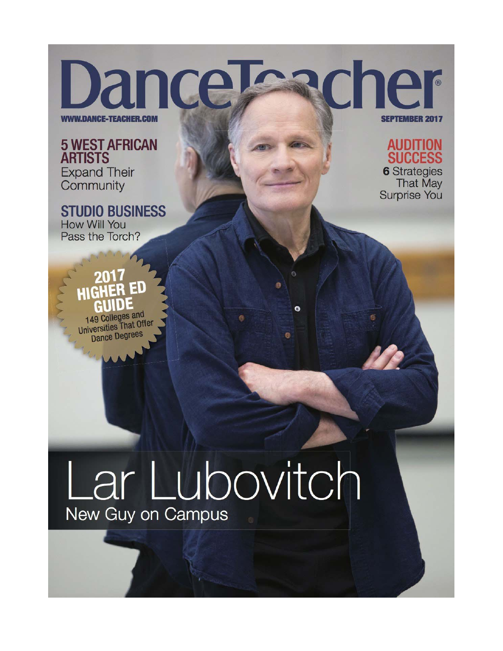**WWW.DANCE-TEACHER.CON** 

**5 WEST AFRICAN ARTISTS Expand Their** Community

**STUDIO BUSINESS** How Will You Pass the Torch?



**AUDITION SUCCESS 6** Strategies **That May Surprise You** 

## $\Box$ 149 Colleges and **Universities That Offer**

**Dance Degrees** 

## Lar Lubovitch New Guy on Campus

 $\bullet$ 

 $\ddot{\circ}$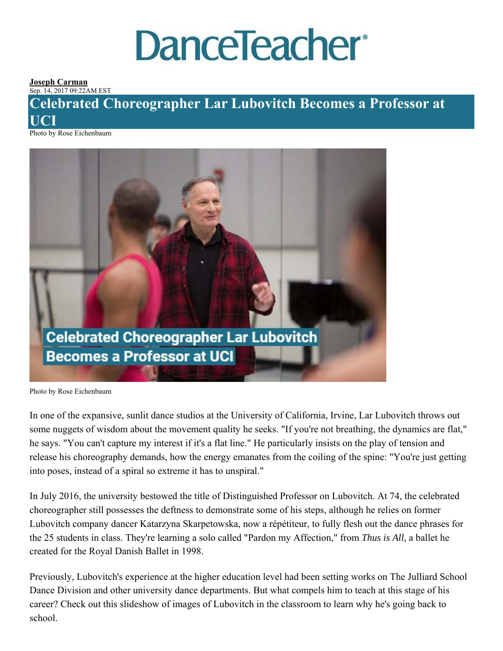# **DanceTeacher®**

#### **Joseph Carman** Sep. 14, 2017 09:22AM EST

## **Celebrated Choreographer Lar Lubovitch Becomes a Professor at UCI**

Photo by Rose Eichenbaum



Photo by Rose Eichenbaum

In one of the expansive, sunlit dance studios at the University of California, Irvine, Lar Lubovitch throws out some nuggets of wisdom about the movement quality he seeks. "If you're not breathing, the dynamics are flat," he says. "You can't capture my interest if it's a flat line." He particularly insists on the play of tension and release his choreography demands, how the energy emanates from the coiling of the spine: "You're just getting into poses, instead of a spiral so extreme it has to unspiral."

In July 2016, the university bestowed the title of Distinguished Professor on Lubovitch. At 74, the celebrated choreographer still possesses the deftness to demonstrate some of his steps, although he relies on former Lubovitch company dancer Katarzyna Skarpetowska, now a répétiteur, to fully flesh out the dance phrases for the 25 students in class. They're learning a solo called "Pardon my Affection," from *Thus is All,* a ballet he created for the Royal Danish Ballet in 1998.

Previously, Lubovitch's experience at the higher education level had been setting works on The Julliard School Dance Division and other university dance departments. But what compels him to teach at this stage of his career? Check out this slideshow of images of Lubovitch in the classroom to learn why he's going back to school.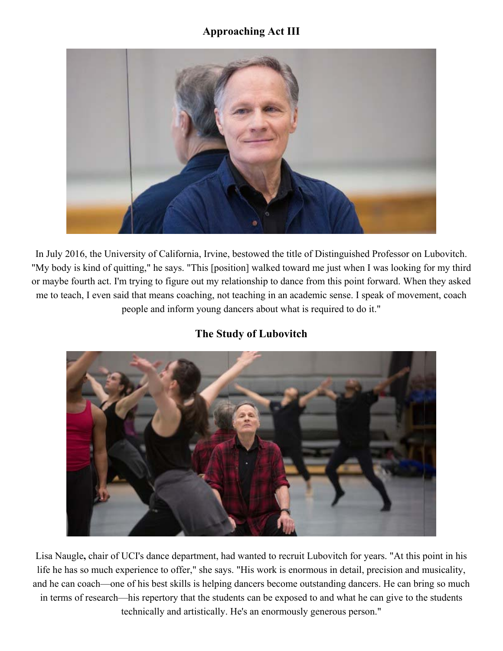## **Approaching Act III**



In July 2016, the University of California, Irvine, bestowed the title of Distinguished Professor on Lubovitch. "My body is kind of quitting," he says. "This [position] walked toward me just when I was looking for my third or maybe fourth act. I'm trying to figure out my relationship to dance from this point forward. When they asked me to teach, I even said that means coaching, not teaching in an academic sense. I speak of movement, coach people and inform young dancers about what is required to do it."

## **The Study of Lubovitch**



Lisa Naugle**,** chair of UCI's dance department, had wanted to recruit Lubovitch for years. "At this point in his life he has so much experience to offer," she says. "His work is enormous in detail, precision and musicality, and he can coach—one of his best skills is helping dancers become outstanding dancers. He can bring so much in terms of research—his repertory that the students can be exposed to and what he can give to the students technically and artistically. He's an enormously generous person."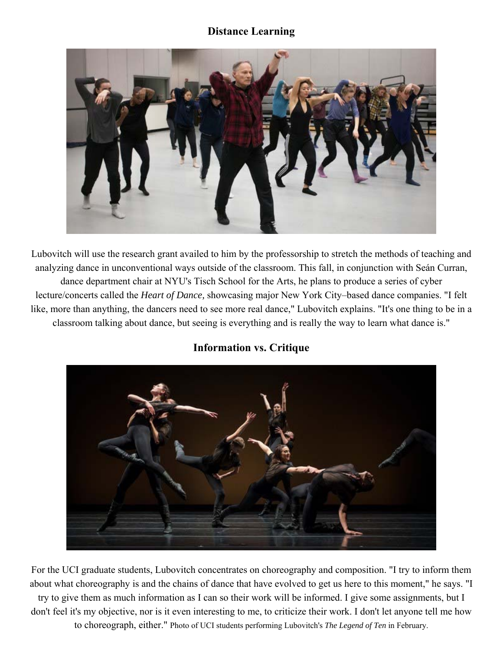### **Distance Learning**



Lubovitch will use the research grant availed to him by the professorship to stretch the methods of teaching and analyzing dance in unconventional ways outside of the classroom. This fall, in conjunction with Seán Curran, dance department chair at NYU's Tisch School for the Arts, he plans to produce a series of cyber lecture/concerts called the *Heart of Dance,* showcasing major New York City–based dance companies. "I felt like, more than anything, the dancers need to see more real dance," Lubovitch explains. "It's one thing to be in a classroom talking about dance, but seeing is everything and is really the way to learn what dance is."





For the UCI graduate students, Lubovitch concentrates on choreography and composition. "I try to inform them about what choreography is and the chains of dance that have evolved to get us here to this moment," he says. "I try to give them as much information as I can so their work will be informed. I give some assignments, but I don't feel it's my objective, nor is it even interesting to me, to criticize their work. I don't let anyone tell me how to choreograph, either." Photo of UCI students performing Lubovitch's *The Legend of Ten* in February.